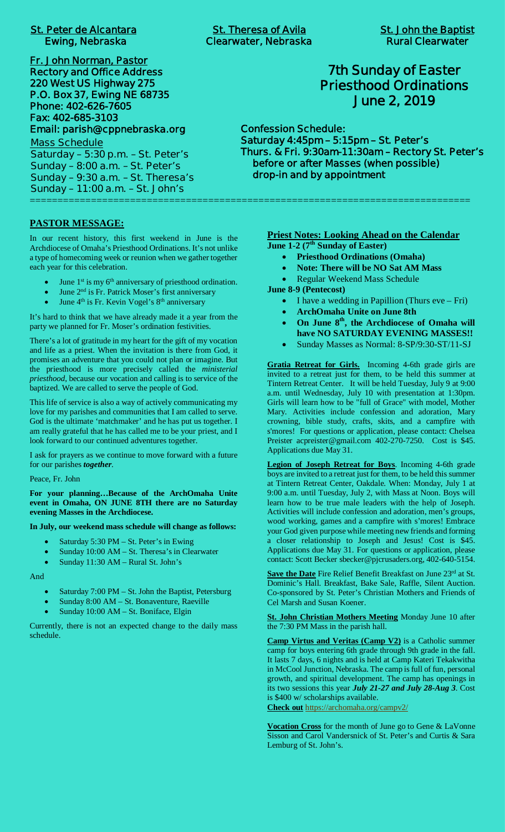# **St. Peter de Alcantara St. Theresa of Avila St. John the Baptist**

**Fr. John Norman, Pastor Rectory and Office Address 220 West US Highway 275 P.O. Box 37, Ewing NE 68735 Phone: 402-626-7605 Fax: 402-685-3103 Email: parish@cppnebraska.org**

**Mass Schedule Saturday – 5:30 p.m. – St. Peter's Sunday – 8:00 a.m. – St. Peter's Sunday – 9:30 a.m. – St. Theresa's Sunday – 11:00 a.m. – St. John's** ===============================================================================

#### **PASTOR MESSAGE:**

In our recent history, this first weekend in June is the Archdiocese of Omaha's Priesthood Ordinations. It's not unlike a type of homecoming week or reunion when we gather together each year for this celebration.

- June 1<sup>st</sup> is my 6<sup>th</sup> anniversary of priesthood ordination.
- June 2<sup>nd</sup> is Fr. Patrick Moser's first anniversary
- June 4<sup>th</sup> is Fr. Kevin Vogel's 8<sup>th</sup> anniversary

It's hard to think that we have already made it a year from the party we planned for Fr. Moser's ordination festivities.

There's a lot of gratitude in my heart for the gift of my vocation and life as a priest. When the invitation is there from God, it promises an adventure that you could not plan or imagine. But the priesthood is more precisely called the *ministerial priesthood*, because our vocation and calling is to service of the baptized. We are called to serve the people of God.

This life of service is also a way of actively communicating my love for my parishes and communities that I am called to serve. God is the ultimate 'matchmaker' and he has put us together. I am really grateful that he has called me to be your priest, and I look forward to our continued adventures together.

I ask for prayers as we continue to move forward with a future for our parishes *together*.

Peace, Fr. John

**For your planning…Because of the ArchOmaha Unite event in Omaha, ON JUNE 8TH there are no Saturday evening Masses in the Archdiocese.**

**In July, our weekend mass schedule will change as follows:**

- Saturday 5:30 PM St. Peter's in Ewing
- Sunday 10:00 AM St. Theresa's in Clearwater
- Sunday 11:30 AM Rural St. John's

And

- Saturday 7:00 PM St. John the Baptist, Petersburg
- Sunday 8:00 AM St. Bonaventure, Raeville
- Sunday 10:00 AM St. Boniface, Elgin

Currently, there is not an expected change to the daily mass schedule.

## **7th Sunday of Easter Priesthood Ordinations June 2, 2019**

**Confession Schedule: Saturday 4:45pm – 5:15pm – St. Peter's Thurs. & Fri. 9:30am-11:30am – Rectory St. Peter's before or after Masses (when possible) drop-in and by appointment**

> **Priest Notes: Looking Ahead on the Calendar June 1-2 (7th Sunday of Easter)**

- · **Priesthood Ordinations (Omaha)**
- · **Note: There will be NO Sat AM Mass**
- Regular Weekend Mass Schedule

**June 8-9 (Pentecost)**

- I have a wedding in Papillion (Thurs  $eve Fri$ )
- · **ArchOmaha Unite on June 8th**
- · **On June 8th, the Archdiocese of Omaha will have NO SATURDAY EVENING MASSES!!**
- · Sunday Masses as Normal: 8-SP/9:30-ST/11-SJ

**Gratia Retreat for Girls.** Incoming 4-6th grade girls are invited to a retreat just for them, to be held this summer at Tintern Retreat Center. It will be held Tuesday, July 9 at 9:00 a.m. until Wednesday, July 10 with presentation at 1:30pm. Girls will learn how to be "full of Grace" with model, Mother Mary. Activities include confession and adoration, Mary crowning, bible study, crafts, skits, and a campfire with s'mores! For questions or application, please contact: Chelsea Preister acpreister@gmail.com 402-270-7250. Cost is \$45. Applications due May 31.

**Legion of Joseph Retreat for Boys**. Incoming 4-6th grade boys are invited to a retreat just for them, to be held this summer at Tintern Retreat Center, Oakdale. When: Monday, July 1 at 9:00 a.m. until Tuesday, July 2, with Mass at Noon. Boys will learn how to be true male leaders with the help of Joseph. Activities will include confession and adoration, men's groups, wood working, games and a campfire with s'mores! Embrace your God given purpose while meeting new friends and forming a closer relationship to Joseph and Jesus! Cost is \$45. Applications due May 31. For questions or application, please contact: Scott Becker sbecker@pjcrusaders.org, 402-640-5154.

**Save the Date** Fire Relief Benefit Breakfast on June 23<sup>rd</sup> at St. Dominic's Hall. Breakfast, Bake Sale, Raffle, Silent Auction. Co-sponsored by St. Peter's Christian Mothers and Friends of Cel Marsh and Susan Koener.

**St. John Christian Mothers Meeting** Monday June 10 after the 7:30 PM Mass in the parish hall.

**Camp Virtus and Veritas (Camp V2)** is a Catholic summer camp for boys entering 6th grade through 9th grade in the fall. It lasts 7 days, 6 nights and is held at Camp Kateri Tekakwitha in McCool Junction, Nebraska. The camp is full of fun, personal growth, and spiritual development. The camp has openings in its two sessions this year *July 21-27 and July 28-Aug 3*. Cost is \$400 w/ scholarships available. **Check out** https://archomaha.org/campv2/

**Vocation Cross** for the month of June go to Gene & LaVonne Sisson and Carol Vandersnick of St. Peter's and Curtis & Sara Lemburg of St. John's.